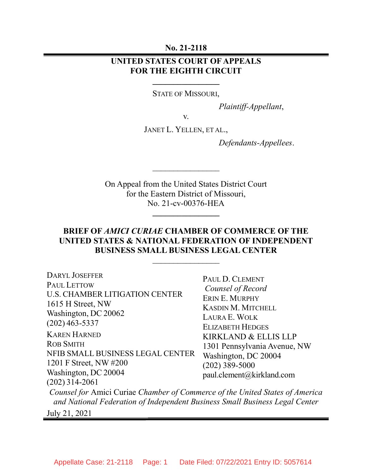No. 21-2118

## UNITED STATES COURT OF APPEALS FOR THE EIGHTH CIRCUIT

STATE OF MISSOURI,

Plaintiff-Appellant,

v.

JANET L. YELLEN, ET AL.,

Defendants-Appellees.

On Appeal from the United States District Court for the Eastern District of Missouri, No. 21-cv-00376-HEA

 $\overline{\phantom{a}}$ 

 $\frac{1}{2}$ 

## BRIEF OF AMICI CURIAE CHAMBER OF COMMERCE OF THE UNITED STATES & NATIONAL FEDERATION OF INDEPENDENT BUSINESS SMALL BUSINESS LEGAL CENTER

 $\frac{1}{2}$ 

DARYL JOSEFFER PAUL LETTOW U.S. CHAMBER LITIGATION CENTER 1615 H Street, NW Washington, DC 20062 (202) 463-5337 KAREN HARNED ROB SMITH NFIB SMALL BUSINESS LEGAL CENTER 1201 F Street, NW #200 Washington, DC 20004 (202) 314-2061 PAUL D. CLEMENT Counsel of Record ERIN E. MURPHY KASDIN M. MITCHELL LAURA E. WOLK ELIZABETH HEDGES KIRKLAND & ELLIS LLP 1301 Pennsylvania Avenue, NW Washington, DC 20004 (202) 389-5000 paul.clement@kirkland.com Counsel for Amici Curiae Chamber of Commerce of the United States of America and National Federation of Independent Business Small Business Legal Center July 21, 2021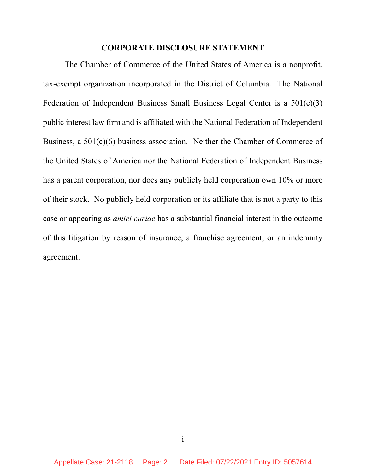#### CORPORATE DISCLOSURE STATEMENT

The Chamber of Commerce of the United States of America is a nonprofit, tax-exempt organization incorporated in the District of Columbia. The National Federation of Independent Business Small Business Legal Center is a 501(c)(3) public interest law firm and is affiliated with the National Federation of Independent Business, a 501(c)(6) business association. Neither the Chamber of Commerce of the United States of America nor the National Federation of Independent Business has a parent corporation, nor does any publicly held corporation own 10% or more of their stock. No publicly held corporation or its affiliate that is not a party to this case or appearing as amici curiae has a substantial financial interest in the outcome of this litigation by reason of insurance, a franchise agreement, or an indemnity agreement.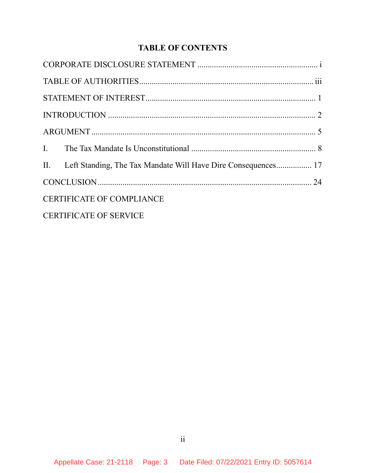# TABLE OF CONTENTS

|                                  | II. Left Standing, The Tax Mandate Will Have Dire Consequences 17 |  |
|----------------------------------|-------------------------------------------------------------------|--|
|                                  |                                                                   |  |
| <b>CERTIFICATE OF COMPLIANCE</b> |                                                                   |  |
| <b>CERTIFICATE OF SERVICE</b>    |                                                                   |  |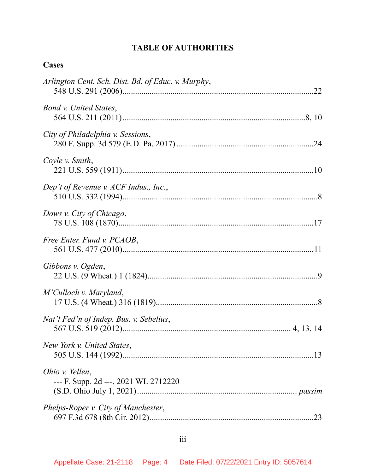# TABLE OF AUTHORITIES

| ase<br>р |
|----------|
|----------|

| Arlington Cent. Sch. Dist. Bd. of Educ. v. Murphy,      |
|---------------------------------------------------------|
| Bond v. United States,                                  |
| City of Philadelphia v. Sessions,                       |
| Coyle v. Smith,                                         |
| Dep't of Revenue v. ACF Indus., Inc.,                   |
| Dows v. City of Chicago,                                |
| Free Enter. Fund v. PCAOB,                              |
| Gibbons v. Ogden,                                       |
| M'Culloch v. Maryland,                                  |
| Nat'l Fed'n of Indep. Bus. v. Sebelius,                 |
| New York v. United States,                              |
| Ohio v. Yellen,<br>--- F. Supp. 2d ---, 2021 WL 2712220 |
| Phelps-Roper v. City of Manchester,                     |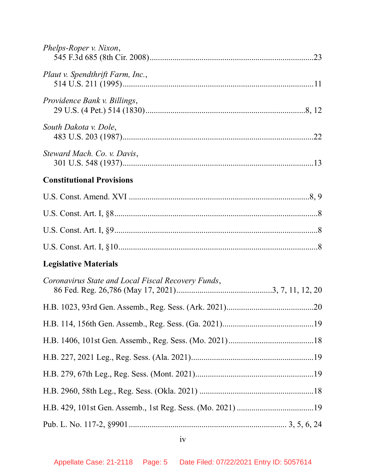| Phelps-Roper v. Nixon,                             |  |
|----------------------------------------------------|--|
| Plaut v. Spendthrift Farm, Inc.,                   |  |
| Providence Bank v. Billings,                       |  |
| South Dakota v. Dole,                              |  |
| Steward Mach. Co. v. Davis,                        |  |
| <b>Constitutional Provisions</b>                   |  |
|                                                    |  |
|                                                    |  |
|                                                    |  |
|                                                    |  |
| <b>Legislative Materials</b>                       |  |
| Coronavirus State and Local Fiscal Recovery Funds, |  |
|                                                    |  |
|                                                    |  |
|                                                    |  |
|                                                    |  |
|                                                    |  |
|                                                    |  |
|                                                    |  |
|                                                    |  |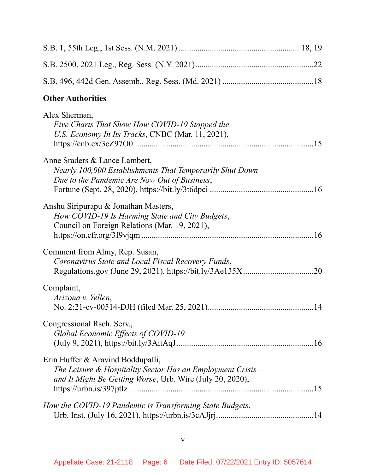| <b>Other Authorities</b>                                                                                                                                     |  |  |  |
|--------------------------------------------------------------------------------------------------------------------------------------------------------------|--|--|--|
| Alex Sherman,<br>Five Charts That Show How COVID-19 Stopped the<br>U.S. Economy In Its Tracks, CNBC (Mar. 11, 2021),                                         |  |  |  |
| Anne Sraders & Lance Lambert,<br>Nearly 100,000 Establishments That Temporarily Shut Down<br>Due to the Pandemic Are Now Out of Business,                    |  |  |  |
| Anshu Siripurapu & Jonathan Masters,<br>How COVID-19 Is Harming State and City Budgets,<br>Council on Foreign Relations (Mar. 19, 2021),                     |  |  |  |
| Comment from Almy, Rep. Susan,<br>Coronavirus State and Local Fiscal Recovery Funds,                                                                         |  |  |  |
| Complaint,<br>Arizona v. Yellen,                                                                                                                             |  |  |  |
| Congressional Rsch. Serv.,<br>Global Economic Effects of COVID-19                                                                                            |  |  |  |
| Erin Huffer & Aravind Boddupalli,<br>The Leisure & Hospitality Sector Has an Employment Crisis-<br>and It Might Be Getting Worse, Urb. Wire (July 20, 2020), |  |  |  |
| How the COVID-19 Pandemic is Transforming State Budgets,                                                                                                     |  |  |  |

v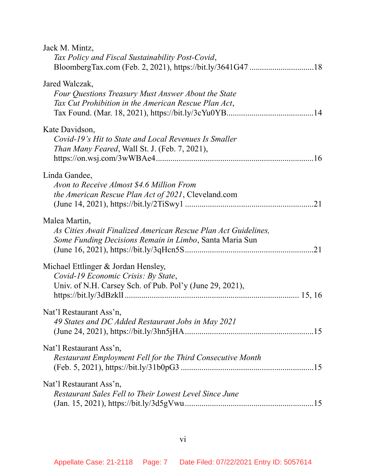| Jack M. Mintz,<br>Tax Policy and Fiscal Sustainability Post-Covid,                                                                         |  |
|--------------------------------------------------------------------------------------------------------------------------------------------|--|
| Jared Walczak,<br>Four Questions Treasury Must Answer About the State<br>Tax Cut Prohibition in the American Rescue Plan Act,              |  |
| Kate Davidson,<br>Covid-19's Hit to State and Local Revenues Is Smaller<br><i>Than Many Feared, Wall St. J. (Feb. 7, 2021),</i>            |  |
| Linda Gandee,<br>Avon to Receive Almost \$4.6 Million From<br>the American Rescue Plan Act of 2021, Cleveland.com                          |  |
| Malea Martin,<br>As Cities Await Finalized American Rescue Plan Act Guidelines,<br>Some Funding Decisions Remain in Limbo, Santa Maria Sun |  |
| Michael Ettlinger & Jordan Hensley,<br>Covid-19 Economic Crisis: By State,<br>Univ. of N.H. Carsey Sch. of Pub. Pol'y (June 29, 2021),     |  |
| Nat'l Restaurant Ass'n,<br>49 States and DC Added Restaurant Jobs in May 2021                                                              |  |
| Nat'l Restaurant Ass'n,<br>Restaurant Employment Fell for the Third Consecutive Month                                                      |  |
| Nat'l Restaurant Ass'n,<br>Restaurant Sales Fell to Their Lowest Level Since June                                                          |  |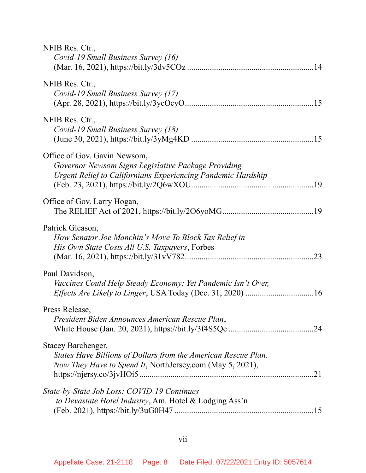| NFIB Res. Ctr.,<br>Covid-19 Small Business Survey (16)                                                                                              |
|-----------------------------------------------------------------------------------------------------------------------------------------------------|
| NFIB Res. Ctr.,<br>Covid-19 Small Business Survey (17)                                                                                              |
| NFIB Res. Ctr.,<br>Covid-19 Small Business Survey (18)                                                                                              |
| Office of Gov. Gavin Newsom,<br>Governor Newsom Signs Legislative Package Providing<br>Urgent Relief to Californians Experiencing Pandemic Hardship |
| Office of Gov. Larry Hogan,                                                                                                                         |
| Patrick Gleason,<br>How Senator Joe Manchin's Move To Block Tax Relief in<br>His Own State Costs All U.S. Taxpayers, Forbes                         |
| Paul Davidson,<br>Vaccines Could Help Steady Economy; Yet Pandemic Isn't Over,                                                                      |
| Press Release,<br>President Biden Announces American Rescue Plan,                                                                                   |
| Stacey Barchenger,<br>States Have Billions of Dollars from the American Rescue Plan.<br>Now They Have to Spend It, NorthJersey.com (May 5, 2021),   |
| State-by-State Job Loss: COVID-19 Continues<br>to Devastate Hotel Industry, Am. Hotel & Lodging Ass'n                                               |

# vii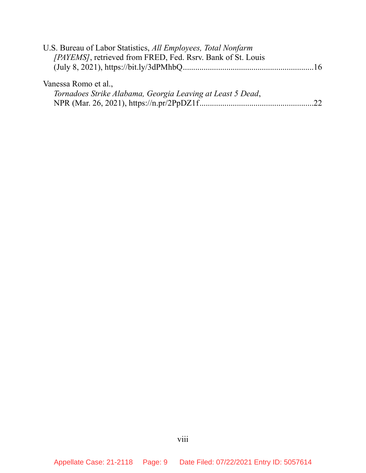| U.S. Bureau of Labor Statistics, All Employees, Total Nonfarm |  |
|---------------------------------------------------------------|--|
| [PAYEMS], retrieved from FRED, Fed. Rsrv. Bank of St. Louis   |  |
|                                                               |  |
|                                                               |  |
| Vanessa Romo et al.,                                          |  |
| Tornadoes Strike Alabama, Georgia Leaving at Least 5 Dead,    |  |
|                                                               |  |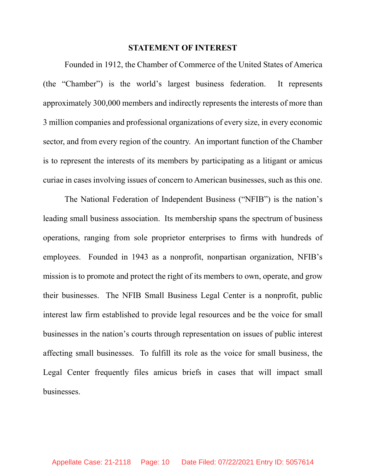#### STATEMENT OF INTEREST

Founded in 1912, the Chamber of Commerce of the United States of America (the "Chamber") is the world's largest business federation. It represents approximately 300,000 members and indirectly represents the interests of more than 3 million companies and professional organizations of every size, in every economic sector, and from every region of the country. An important function of the Chamber is to represent the interests of its members by participating as a litigant or amicus curiae in cases involving issues of concern to American businesses, such as this one.

The National Federation of Independent Business ("NFIB") is the nation's leading small business association. Its membership spans the spectrum of business operations, ranging from sole proprietor enterprises to firms with hundreds of employees. Founded in 1943 as a nonprofit, nonpartisan organization, NFIB's mission is to promote and protect the right of its members to own, operate, and grow their businesses. The NFIB Small Business Legal Center is a nonprofit, public interest law firm established to provide legal resources and be the voice for small businesses in the nation's courts through representation on issues of public interest affecting small businesses. To fulfill its role as the voice for small business, the Legal Center frequently files amicus briefs in cases that will impact small businesses.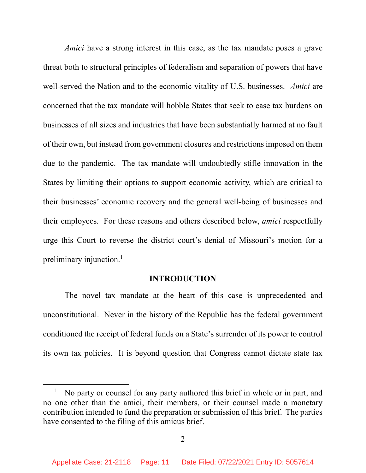Amici have a strong interest in this case, as the tax mandate poses a grave threat both to structural principles of federalism and separation of powers that have well-served the Nation and to the economic vitality of U.S. businesses. Amici are concerned that the tax mandate will hobble States that seek to ease tax burdens on businesses of all sizes and industries that have been substantially harmed at no fault of their own, but instead from government closures and restrictions imposed on them due to the pandemic. The tax mandate will undoubtedly stifle innovation in the States by limiting their options to support economic activity, which are critical to their businesses' economic recovery and the general well-being of businesses and their employees. For these reasons and others described below, *amici* respectfully urge this Court to reverse the district court's denial of Missouri's motion for a preliminary injunction.<sup>1</sup>

#### INTRODUCTION

The novel tax mandate at the heart of this case is unprecedented and unconstitutional. Never in the history of the Republic has the federal government conditioned the receipt of federal funds on a State's surrender of its power to control its own tax policies. It is beyond question that Congress cannot dictate state tax

<sup>&</sup>lt;sup>1</sup> No party or counsel for any party authored this brief in whole or in part, and no one other than the amici, their members, or their counsel made a monetary contribution intended to fund the preparation or submission of this brief. The parties have consented to the filing of this amicus brief.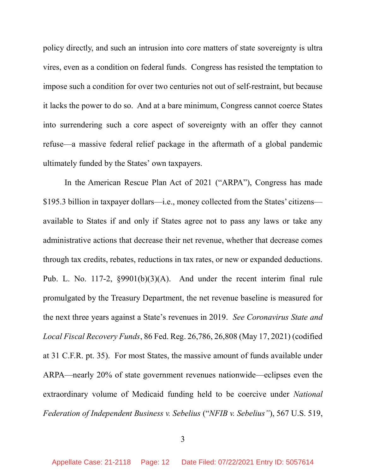policy directly, and such an intrusion into core matters of state sovereignty is ultra vires, even as a condition on federal funds. Congress has resisted the temptation to impose such a condition for over two centuries not out of self-restraint, but because it lacks the power to do so. And at a bare minimum, Congress cannot coerce States into surrendering such a core aspect of sovereignty with an offer they cannot refuse—a massive federal relief package in the aftermath of a global pandemic ultimately funded by the States' own taxpayers.

In the American Rescue Plan Act of 2021 ("ARPA"), Congress has made \$195.3 billion in taxpayer dollars—i.e., money collected from the States' citizens available to States if and only if States agree not to pass any laws or take any administrative actions that decrease their net revenue, whether that decrease comes through tax credits, rebates, reductions in tax rates, or new or expanded deductions. Pub. L. No. 117-2, §9901(b)(3)(A). And under the recent interim final rule promulgated by the Treasury Department, the net revenue baseline is measured for the next three years against a State's revenues in 2019. See Coronavirus State and Local Fiscal Recovery Funds, 86 Fed. Reg. 26,786, 26,808 (May 17, 2021) (codified at 31 C.F.R. pt. 35). For most States, the massive amount of funds available under ARPA—nearly 20% of state government revenues nationwide—eclipses even the extraordinary volume of Medicaid funding held to be coercive under National Federation of Independent Business v. Sebelius ("NFIB v. Sebelius"), 567 U.S. 519,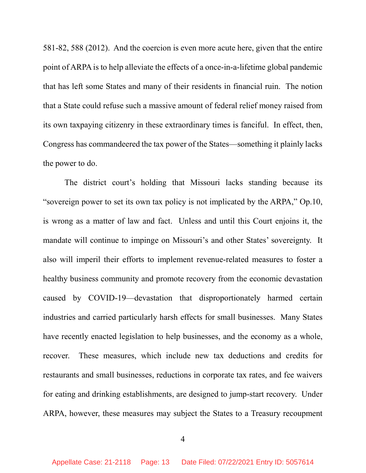581-82, 588 (2012). And the coercion is even more acute here, given that the entire point of ARPA is to help alleviate the effects of a once-in-a-lifetime global pandemic that has left some States and many of their residents in financial ruin. The notion that a State could refuse such a massive amount of federal relief money raised from its own taxpaying citizenry in these extraordinary times is fanciful. In effect, then, Congress has commandeered the tax power of the States—something it plainly lacks the power to do.

The district court's holding that Missouri lacks standing because its "sovereign power to set its own tax policy is not implicated by the ARPA," Op.10, is wrong as a matter of law and fact. Unless and until this Court enjoins it, the mandate will continue to impinge on Missouri's and other States' sovereignty. It also will imperil their efforts to implement revenue-related measures to foster a healthy business community and promote recovery from the economic devastation caused by COVID-19—devastation that disproportionately harmed certain industries and carried particularly harsh effects for small businesses. Many States have recently enacted legislation to help businesses, and the economy as a whole, recover. These measures, which include new tax deductions and credits for restaurants and small businesses, reductions in corporate tax rates, and fee waivers for eating and drinking establishments, are designed to jump-start recovery. Under ARPA, however, these measures may subject the States to a Treasury recoupment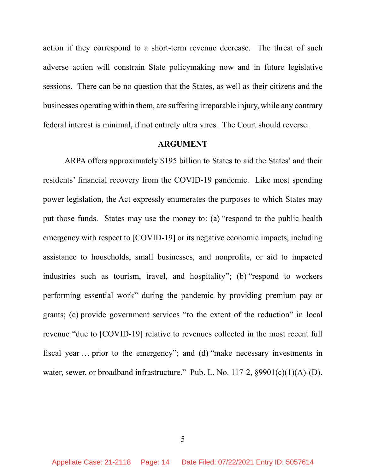action if they correspond to a short-term revenue decrease. The threat of such adverse action will constrain State policymaking now and in future legislative sessions. There can be no question that the States, as well as their citizens and the businesses operating within them, are suffering irreparable injury, while any contrary federal interest is minimal, if not entirely ultra vires. The Court should reverse.

#### ARGUMENT

ARPA offers approximately \$195 billion to States to aid the States' and their residents' financial recovery from the COVID-19 pandemic. Like most spending power legislation, the Act expressly enumerates the purposes to which States may put those funds. States may use the money to: (a) "respond to the public health emergency with respect to [COVID-19] or its negative economic impacts, including assistance to households, small businesses, and nonprofits, or aid to impacted industries such as tourism, travel, and hospitality"; (b) "respond to workers performing essential work" during the pandemic by providing premium pay or grants; (c) provide government services "to the extent of the reduction" in local revenue "due to [COVID-19] relative to revenues collected in the most recent full fiscal year … prior to the emergency"; and (d) "make necessary investments in water, sewer, or broadband infrastructure." Pub. L. No. 117-2, §9901(c)(1)(A)-(D).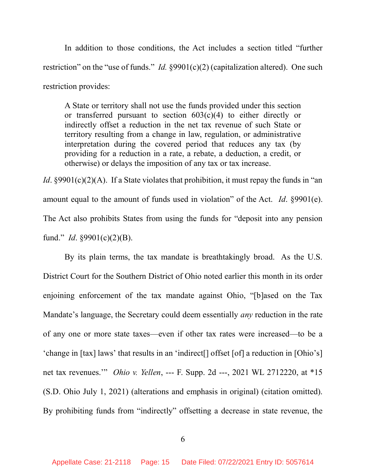In addition to those conditions, the Act includes a section titled "further restriction" on the "use of funds." *Id.* §9901(c)(2) (capitalization altered). One such restriction provides:

A State or territory shall not use the funds provided under this section or transferred pursuant to section 603(c)(4) to either directly or indirectly offset a reduction in the net tax revenue of such State or territory resulting from a change in law, regulation, or administrative interpretation during the covered period that reduces any tax (by providing for a reduction in a rate, a rebate, a deduction, a credit, or otherwise) or delays the imposition of any tax or tax increase.

*Id.* §9901(c)(2)(A). If a State violates that prohibition, it must repay the funds in "an amount equal to the amount of funds used in violation" of the Act. *Id.* §9901(e). The Act also prohibits States from using the funds for "deposit into any pension fund." *Id.*  $\S 9901(c)(2)(B)$ .

By its plain terms, the tax mandate is breathtakingly broad. As the U.S. District Court for the Southern District of Ohio noted earlier this month in its order enjoining enforcement of the tax mandate against Ohio, "[b]ased on the Tax Mandate's language, the Secretary could deem essentially any reduction in the rate of any one or more state taxes—even if other tax rates were increased—to be a 'change in [tax] laws' that results in an 'indirect[] offset [of] a reduction in [Ohio's] net tax revenues.'" Ohio v. Yellen, --- F. Supp. 2d ---, 2021 WL 2712220, at \*15 (S.D. Ohio July 1, 2021) (alterations and emphasis in original) (citation omitted). By prohibiting funds from "indirectly" offsetting a decrease in state revenue, the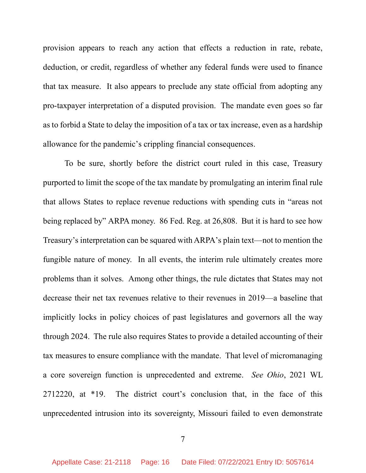provision appears to reach any action that effects a reduction in rate, rebate, deduction, or credit, regardless of whether any federal funds were used to finance that tax measure. It also appears to preclude any state official from adopting any pro-taxpayer interpretation of a disputed provision. The mandate even goes so far as to forbid a State to delay the imposition of a tax or tax increase, even as a hardship allowance for the pandemic's crippling financial consequences.

To be sure, shortly before the district court ruled in this case, Treasury purported to limit the scope of the tax mandate by promulgating an interim final rule that allows States to replace revenue reductions with spending cuts in "areas not being replaced by" ARPA money. 86 Fed. Reg. at 26,808. But it is hard to see how Treasury's interpretation can be squared with ARPA's plain text—not to mention the fungible nature of money. In all events, the interim rule ultimately creates more problems than it solves. Among other things, the rule dictates that States may not decrease their net tax revenues relative to their revenues in 2019—a baseline that implicitly locks in policy choices of past legislatures and governors all the way through 2024. The rule also requires States to provide a detailed accounting of their tax measures to ensure compliance with the mandate. That level of micromanaging a core sovereign function is unprecedented and extreme. See Ohio, 2021 WL 2712220, at \*19. The district court's conclusion that, in the face of this unprecedented intrusion into its sovereignty, Missouri failed to even demonstrate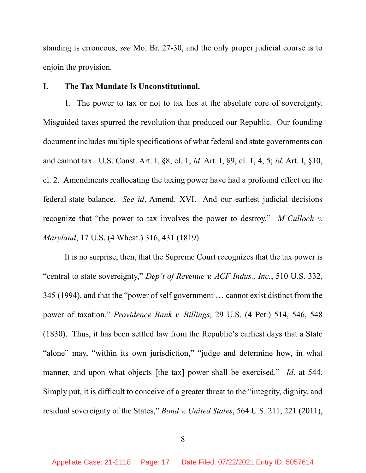standing is erroneous, see Mo. Br. 27-30, and the only proper judicial course is to enjoin the provision.

#### I. The Tax Mandate Is Unconstitutional.

1. The power to tax or not to tax lies at the absolute core of sovereignty. Misguided taxes spurred the revolution that produced our Republic. Our founding document includes multiple specifications of what federal and state governments can and cannot tax. U.S. Const. Art. I, §8, cl. 1; id. Art. I, §9, cl. 1, 4, 5; id. Art. I, §10, cl. 2. Amendments reallocating the taxing power have had a profound effect on the federal-state balance. See id. Amend. XVI. And our earliest judicial decisions recognize that "the power to tax involves the power to destroy." M'Culloch v. Maryland, 17 U.S. (4 Wheat.) 316, 431 (1819).

It is no surprise, then, that the Supreme Court recognizes that the tax power is "central to state sovereignty," Dep't of Revenue v. ACF Indus., Inc., 510 U.S. 332, 345 (1994), and that the "power of self government … cannot exist distinct from the power of taxation," Providence Bank v. Billings, 29 U.S. (4 Pet.) 514, 546, 548 (1830). Thus, it has been settled law from the Republic's earliest days that a State "alone" may, "within its own jurisdiction," "judge and determine how, in what manner, and upon what objects [the tax] power shall be exercised." Id. at 544. Simply put, it is difficult to conceive of a greater threat to the "integrity, dignity, and residual sovereignty of the States," Bond v. United States, 564 U.S. 211, 221 (2011),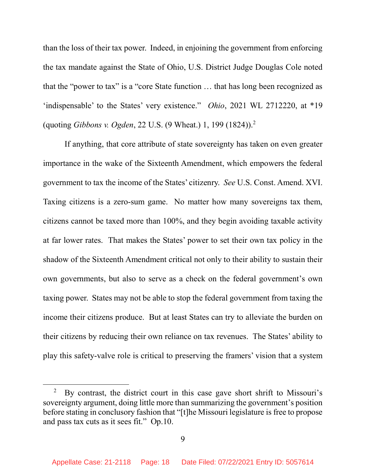than the loss of their tax power. Indeed, in enjoining the government from enforcing the tax mandate against the State of Ohio, U.S. District Judge Douglas Cole noted that the "power to tax" is a "core State function … that has long been recognized as 'indispensable' to the States' very existence." Ohio, 2021 WL 2712220, at \*19 (quoting Gibbons v. Ogden, 22 U.S. (9 Wheat.) 1, 199 (1824)).<sup>2</sup>

If anything, that core attribute of state sovereignty has taken on even greater importance in the wake of the Sixteenth Amendment, which empowers the federal government to tax the income of the States' citizenry. See U.S. Const. Amend. XVI. Taxing citizens is a zero-sum game. No matter how many sovereigns tax them, citizens cannot be taxed more than 100%, and they begin avoiding taxable activity at far lower rates. That makes the States' power to set their own tax policy in the shadow of the Sixteenth Amendment critical not only to their ability to sustain their own governments, but also to serve as a check on the federal government's own taxing power. States may not be able to stop the federal government from taxing the income their citizens produce. But at least States can try to alleviate the burden on their citizens by reducing their own reliance on tax revenues. The States' ability to play this safety-valve role is critical to preserving the framers' vision that a system

<sup>&</sup>lt;sup>2</sup> By contrast, the district court in this case gave short shrift to Missouri's sovereignty argument, doing little more than summarizing the government's position before stating in conclusory fashion that "[t]he Missouri legislature is free to propose and pass tax cuts as it sees fit." Op.10.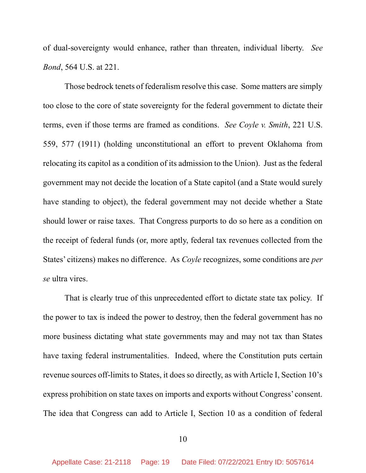of dual-sovereignty would enhance, rather than threaten, individual liberty. See Bond, 564 U.S. at 221.

Those bedrock tenets of federalism resolve this case. Some matters are simply too close to the core of state sovereignty for the federal government to dictate their terms, even if those terms are framed as conditions. See Coyle v. Smith, 221 U.S. 559, 577 (1911) (holding unconstitutional an effort to prevent Oklahoma from relocating its capitol as a condition of its admission to the Union). Just as the federal government may not decide the location of a State capitol (and a State would surely have standing to object), the federal government may not decide whether a State should lower or raise taxes. That Congress purports to do so here as a condition on the receipt of federal funds (or, more aptly, federal tax revenues collected from the States' citizens) makes no difference. As Coyle recognizes, some conditions are per se ultra vires.

That is clearly true of this unprecedented effort to dictate state tax policy. If the power to tax is indeed the power to destroy, then the federal government has no more business dictating what state governments may and may not tax than States have taxing federal instrumentalities. Indeed, where the Constitution puts certain revenue sources off-limits to States, it does so directly, as with Article I, Section 10's express prohibition on state taxes on imports and exports without Congress' consent. The idea that Congress can add to Article I, Section 10 as a condition of federal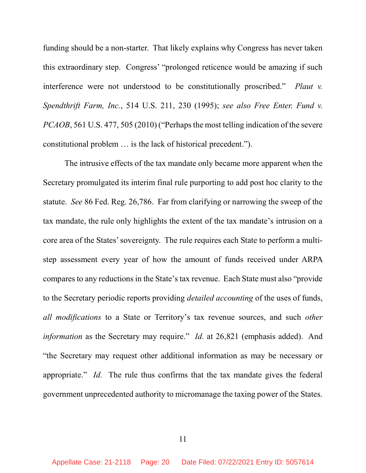funding should be a non-starter. That likely explains why Congress has never taken this extraordinary step. Congress' "prolonged reticence would be amazing if such interference were not understood to be constitutionally proscribed." Plaut v. Spendthrift Farm, Inc., 514 U.S. 211, 230 (1995); see also Free Enter. Fund v. PCAOB, 561 U.S. 477, 505 (2010) ("Perhaps the most telling indication of the severe constitutional problem … is the lack of historical precedent.").

The intrusive effects of the tax mandate only became more apparent when the Secretary promulgated its interim final rule purporting to add post hoc clarity to the statute. See 86 Fed. Reg. 26,786. Far from clarifying or narrowing the sweep of the tax mandate, the rule only highlights the extent of the tax mandate's intrusion on a core area of the States' sovereignty. The rule requires each State to perform a multistep assessment every year of how the amount of funds received under ARPA compares to any reductions in the State's tax revenue. Each State must also "provide to the Secretary periodic reports providing *detailed accounting* of the uses of funds, all modifications to a State or Territory's tax revenue sources, and such other information as the Secretary may require." Id. at  $26,821$  (emphasis added). And "the Secretary may request other additional information as may be necessary or appropriate." Id. The rule thus confirms that the tax mandate gives the federal government unprecedented authority to micromanage the taxing power of the States.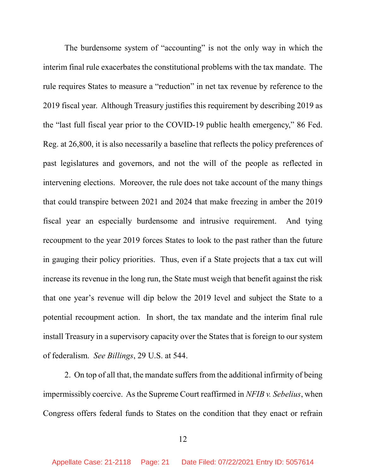The burdensome system of "accounting" is not the only way in which the interim final rule exacerbates the constitutional problems with the tax mandate. The rule requires States to measure a "reduction" in net tax revenue by reference to the 2019 fiscal year. Although Treasury justifies this requirement by describing 2019 as the "last full fiscal year prior to the COVID-19 public health emergency," 86 Fed. Reg. at 26,800, it is also necessarily a baseline that reflects the policy preferences of past legislatures and governors, and not the will of the people as reflected in intervening elections. Moreover, the rule does not take account of the many things that could transpire between 2021 and 2024 that make freezing in amber the 2019 fiscal year an especially burdensome and intrusive requirement. And tying recoupment to the year 2019 forces States to look to the past rather than the future in gauging their policy priorities. Thus, even if a State projects that a tax cut will increase its revenue in the long run, the State must weigh that benefit against the risk that one year's revenue will dip below the 2019 level and subject the State to a potential recoupment action. In short, the tax mandate and the interim final rule install Treasury in a supervisory capacity over the States that is foreign to our system of federalism. See Billings, 29 U.S. at 544.

2. On top of all that, the mandate suffers from the additional infirmity of being impermissibly coercive. As the Supreme Court reaffirmed in NFIB v. Sebelius, when Congress offers federal funds to States on the condition that they enact or refrain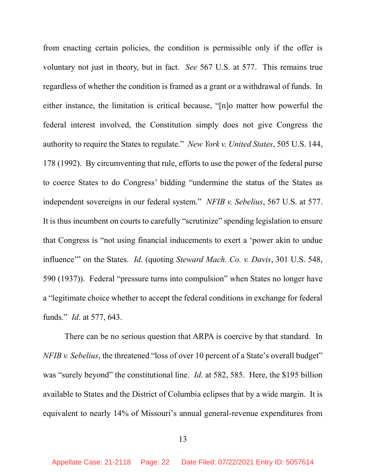from enacting certain policies, the condition is permissible only if the offer is voluntary not just in theory, but in fact. See 567 U.S. at 577. This remains true regardless of whether the condition is framed as a grant or a withdrawal of funds. In either instance, the limitation is critical because, "[n]o matter how powerful the federal interest involved, the Constitution simply does not give Congress the authority to require the States to regulate." New York v. United States, 505 U.S. 144, 178 (1992). By circumventing that rule, efforts to use the power of the federal purse to coerce States to do Congress' bidding "undermine the status of the States as independent sovereigns in our federal system." NFIB v. Sebelius, 567 U.S. at 577. It is thus incumbent on courts to carefully "scrutinize" spending legislation to ensure that Congress is "not using financial inducements to exert a 'power akin to undue influence" on the States. *Id.* (quoting *Steward Mach. Co. v. Davis*, 301 U.S. 548, 590 (1937)). Federal "pressure turns into compulsion" when States no longer have a "legitimate choice whether to accept the federal conditions in exchange for federal funds." Id. at 577, 643.

There can be no serious question that ARPA is coercive by that standard. In NFIB v. Sebelius, the threatened "loss of over 10 percent of a State's overall budget" was "surely beyond" the constitutional line. *Id.* at 582, 585. Here, the \$195 billion available to States and the District of Columbia eclipses that by a wide margin. It is equivalent to nearly 14% of Missouri's annual general-revenue expenditures from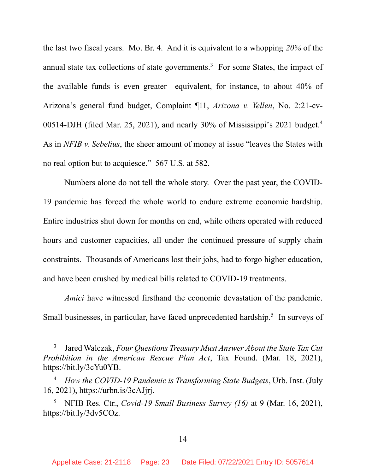the last two fiscal years. Mo. Br. 4. And it is equivalent to a whopping  $20\%$  of the annual state tax collections of state governments.<sup>3</sup> For some States, the impact of the available funds is even greater—equivalent, for instance, to about 40% of Arizona's general fund budget, Complaint ¶11, Arizona v. Yellen, No. 2:21-cv-00514-DJH (filed Mar. 25, 2021), and nearly 30% of Mississippi's 2021 budget.<sup>4</sup> As in *NFIB v. Sebelius*, the sheer amount of money at issue "leaves the States with no real option but to acquiesce." 567 U.S. at 582.

Numbers alone do not tell the whole story. Over the past year, the COVID-19 pandemic has forced the whole world to endure extreme economic hardship. Entire industries shut down for months on end, while others operated with reduced hours and customer capacities, all under the continued pressure of supply chain constraints. Thousands of Americans lost their jobs, had to forgo higher education, and have been crushed by medical bills related to COVID-19 treatments.

Amici have witnessed firsthand the economic devastation of the pandemic. Small businesses, in particular, have faced unprecedented hardship.<sup>5</sup> In surveys of

<sup>3</sup> Jared Walczak, Four Questions Treasury Must Answer About the State Tax Cut Prohibition in the American Rescue Plan Act, Tax Found. (Mar. 18, 2021), https://bit.ly/3cYu0YB.

How the COVID-19 Pandemic is Transforming State Budgets, Urb. Inst. (July 16, 2021), https://urbn.is/3cAJjrj.

<sup>5</sup> NFIB Res. Ctr., Covid-19 Small Business Survey (16) at 9 (Mar. 16, 2021), https://bit.ly/3dv5COz.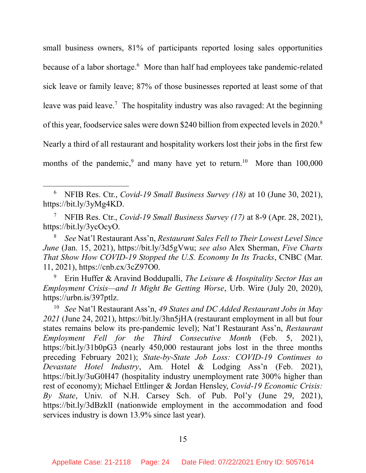small business owners, 81% of participants reported losing sales opportunities because of a labor shortage.<sup>6</sup> More than half had employees take pandemic-related sick leave or family leave; 87% of those businesses reported at least some of that leave was paid leave.<sup>7</sup> The hospitality industry was also ravaged: At the beginning of this year, foodservice sales were down \$240 billion from expected levels in 2020.<sup>8</sup> Nearly a third of all restaurant and hospitality workers lost their jobs in the first few months of the pandemic,<sup>9</sup> and many have yet to return.<sup>10</sup> More than  $100,000$ 

 $\overline{a}$ 

<sup>8</sup> See Nat'l Restaurant Ass'n, Restaurant Sales Fell to Their Lowest Level Since June (Jan. 15, 2021), https://bit.ly/3d5gVwu; see also Alex Sherman, Five Charts That Show How COVID-19 Stopped the U.S. Economy In Its Tracks, CNBC (Mar. 11, 2021), https://cnb.cx/3cZ97O0.

9 Erin Huffer & Aravind Boddupalli, The Leisure & Hospitality Sector Has an Employment Crisis—and It Might Be Getting Worse, Urb. Wire (July 20, 2020), https://urbn.is/397ptlz.

<sup>10</sup> See Nat'l Restaurant Ass'n, 49 States and DC Added Restaurant Jobs in May 2021 (June 24, 2021), https://bit.ly/3hn5jHA (restaurant employment in all but four states remains below its pre-pandemic level); Nat'l Restaurant Ass'n, Restaurant Employment Fell for the Third Consecutive Month (Feb. 5, 2021), https://bit.ly/31b0pG3 (nearly 450,000 restaurant jobs lost in the three months preceding February 2021); State-by-State Job Loss: COVID-19 Continues to Devastate Hotel Industry, Am. Hotel & Lodging Ass'n (Feb. 2021), https://bit.ly/3uG0H47 (hospitality industry unemployment rate 300% higher than rest of economy); Michael Ettlinger & Jordan Hensley, Covid-19 Economic Crisis: By State, Univ. of N.H. Carsey Sch. of Pub. Pol'y (June 29, 2021), https://bit.ly/3dBzklI (nationwide employment in the accommodation and food services industry is down 13.9% since last year).

<sup>6</sup> NFIB Res. Ctr., Covid-19 Small Business Survey (18) at 10 (June 30, 2021), https://bit.ly/3yMg4KD.

<sup>7</sup> NFIB Res. Ctr., Covid-19 Small Business Survey (17) at 8-9 (Apr. 28, 2021), https://bit.ly/3ycOcyO.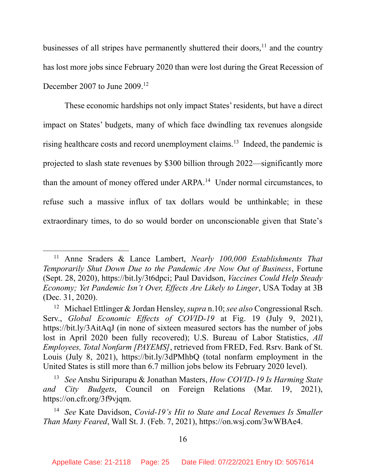businesses of all stripes have permanently shuttered their doors, $11$  and the country has lost more jobs since February 2020 than were lost during the Great Recession of December 2007 to June 2009.<sup>12</sup>

These economic hardships not only impact States' residents, but have a direct impact on States' budgets, many of which face dwindling tax revenues alongside rising healthcare costs and record unemployment claims.<sup>13</sup> Indeed, the pandemic is projected to slash state revenues by \$300 billion through 2022—significantly more than the amount of money offered under ARPA.<sup>14</sup> Under normal circumstances, to refuse such a massive influx of tax dollars would be unthinkable; in these extraordinary times, to do so would border on unconscionable given that State's

<sup>&</sup>lt;sup>11</sup> Anne Sraders & Lance Lambert, Nearly 100,000 Establishments That Temporarily Shut Down Due to the Pandemic Are Now Out of Business, Fortune (Sept. 28, 2020), https://bit.ly/3t6dpci; Paul Davidson, Vaccines Could Help Steady Economy; Yet Pandemic Isn't Over, Effects Are Likely to Linger, USA Today at 3B (Dec. 31, 2020).

<sup>&</sup>lt;sup>12</sup> Michael Ettlinger & Jordan Hensley, *supra* n.10; see also Congressional Rsch. Serv., Global Economic Effects of COVID-19 at Fig. 19 (July 9, 2021), https://bit.ly/3AitAqJ (in none of sixteen measured sectors has the number of jobs lost in April 2020 been fully recovered); U.S. Bureau of Labor Statistics, All Employees, Total Nonfarm [PAYEMS], retrieved from FRED, Fed. Rsrv. Bank of St. Louis (July 8, 2021), https://bit.ly/3dPMhbQ (total nonfarm employment in the United States is still more than 6.7 million jobs below its February 2020 level).

<sup>&</sup>lt;sup>13</sup> See Anshu Siripurapu & Jonathan Masters, How COVID-19 Is Harming State and City Budgets, Council on Foreign Relations (Mar. 19, 2021), https://on.cfr.org/3f9vjqm.

<sup>&</sup>lt;sup>14</sup> See Kate Davidson, Covid-19's Hit to State and Local Revenues Is Smaller Than Many Feared, Wall St. J. (Feb. 7, 2021), https://on.wsj.com/3wWBAe4.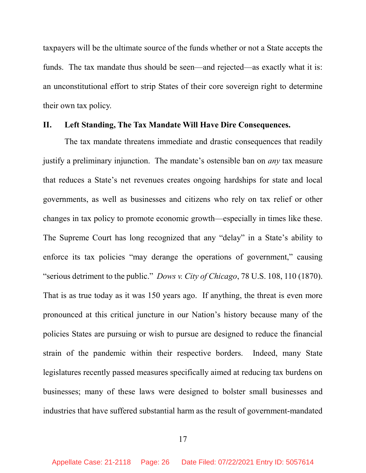taxpayers will be the ultimate source of the funds whether or not a State accepts the funds. The tax mandate thus should be seen—and rejected—as exactly what it is: an unconstitutional effort to strip States of their core sovereign right to determine their own tax policy.

#### II. Left Standing, The Tax Mandate Will Have Dire Consequences.

The tax mandate threatens immediate and drastic consequences that readily justify a preliminary injunction. The mandate's ostensible ban on *any* tax measure that reduces a State's net revenues creates ongoing hardships for state and local governments, as well as businesses and citizens who rely on tax relief or other changes in tax policy to promote economic growth—especially in times like these. The Supreme Court has long recognized that any "delay" in a State's ability to enforce its tax policies "may derange the operations of government," causing "serious detriment to the public." Dows v. City of Chicago, 78 U.S. 108, 110 (1870). That is as true today as it was 150 years ago. If anything, the threat is even more pronounced at this critical juncture in our Nation's history because many of the policies States are pursuing or wish to pursue are designed to reduce the financial strain of the pandemic within their respective borders. Indeed, many State legislatures recently passed measures specifically aimed at reducing tax burdens on businesses; many of these laws were designed to bolster small businesses and industries that have suffered substantial harm as the result of government-mandated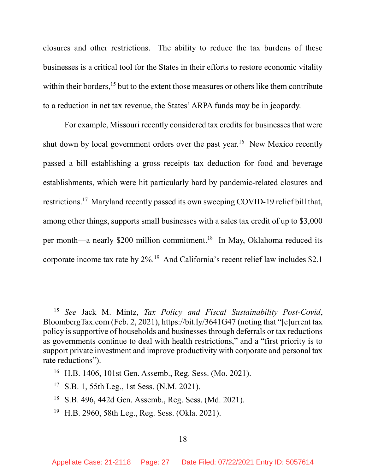closures and other restrictions. The ability to reduce the tax burdens of these businesses is a critical tool for the States in their efforts to restore economic vitality within their borders,<sup>15</sup> but to the extent those measures or others like them contribute to a reduction in net tax revenue, the States' ARPA funds may be in jeopardy.

For example, Missouri recently considered tax credits for businesses that were shut down by local government orders over the past year.<sup>16</sup> New Mexico recently passed a bill establishing a gross receipts tax deduction for food and beverage establishments, which were hit particularly hard by pandemic-related closures and restrictions.<sup>17</sup> Maryland recently passed its own sweeping COVID-19 relief bill that, among other things, supports small businesses with a sales tax credit of up to \$3,000 per month—a nearly \$200 million commitment.<sup>18</sup> In May, Oklahoma reduced its corporate income tax rate by 2%.<sup>19</sup> And California's recent relief law includes \$2.1

- <sup>18</sup> S.B. 496, 442d Gen. Assemb., Reg. Sess. (Md. 2021).
- <sup>19</sup> H.B. 2960, 58th Leg., Reg. Sess. (Okla. 2021).

<sup>&</sup>lt;sup>15</sup> See Jack M. Mintz, Tax Policy and Fiscal Sustainability Post-Covid, BloombergTax.com (Feb. 2, 2021), https://bit.ly/3641G47 (noting that "[c]urrent tax policy is supportive of households and businesses through deferrals or tax reductions as governments continue to deal with health restrictions," and a "first priority is to support private investment and improve productivity with corporate and personal tax rate reductions").

<sup>16</sup> H.B. 1406, 101st Gen. Assemb., Reg. Sess. (Mo. 2021).

<sup>17</sup> S.B. 1, 55th Leg., 1st Sess. (N.M. 2021).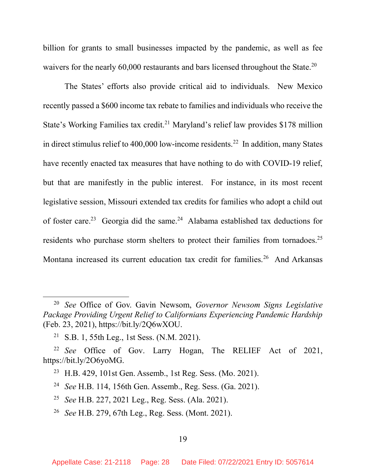billion for grants to small businesses impacted by the pandemic, as well as fee waivers for the nearly 60,000 restaurants and bars licensed throughout the State.<sup>20</sup>

The States' efforts also provide critical aid to individuals. New Mexico recently passed a \$600 income tax rebate to families and individuals who receive the State's Working Families tax credit.<sup>21</sup> Maryland's relief law provides \$178 million in direct stimulus relief to 400,000 low-income residents.<sup>22</sup> In addition, many States have recently enacted tax measures that have nothing to do with COVID-19 relief, but that are manifestly in the public interest. For instance, in its most recent legislative session, Missouri extended tax credits for families who adopt a child out of foster care.<sup>23</sup> Georgia did the same.<sup>24</sup> Alabama established tax deductions for residents who purchase storm shelters to protect their families from tornadoes.<sup>25</sup> Montana increased its current education tax credit for families.<sup>26</sup> And Arkansas

 $20$  See Office of Gov. Gavin Newsom, Governor Newsom Signs Legislative Package Providing Urgent Relief to Californians Experiencing Pandemic Hardship (Feb. 23, 2021), https://bit.ly/2Q6wXOU.

<sup>21</sup> S.B. 1, 55th Leg., 1st Sess. (N.M. 2021).

<sup>&</sup>lt;sup>22</sup> See Office of Gov. Larry Hogan, The RELIEF Act of 2021, https://bit.ly/2O6yoMG.

<sup>23</sup> H.B. 429, 101st Gen. Assemb., 1st Reg. Sess. (Mo. 2021).

<sup>24</sup> See H.B. 114, 156th Gen. Assemb., Reg. Sess. (Ga. 2021).

<sup>25</sup> See H.B. 227, 2021 Leg., Reg. Sess. (Ala. 2021).

<sup>26</sup> See H.B. 279, 67th Leg., Reg. Sess. (Mont. 2021).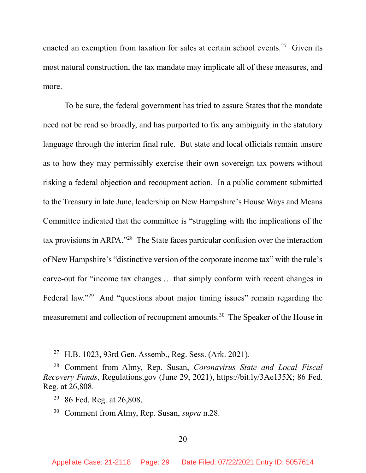enacted an exemption from taxation for sales at certain school events.<sup>27</sup> Given its most natural construction, the tax mandate may implicate all of these measures, and more.

To be sure, the federal government has tried to assure States that the mandate need not be read so broadly, and has purported to fix any ambiguity in the statutory language through the interim final rule. But state and local officials remain unsure as to how they may permissibly exercise their own sovereign tax powers without risking a federal objection and recoupment action. In a public comment submitted to the Treasury in late June, leadership on New Hampshire's House Ways and Means Committee indicated that the committee is "struggling with the implications of the tax provisions in ARPA."<sup>28</sup> The State faces particular confusion over the interaction of New Hampshire's "distinctive version of the corporate income tax" with the rule's carve-out for "income tax changes … that simply conform with recent changes in Federal law."<sup>29</sup> And "questions about major timing issues" remain regarding the measurement and collection of recoupment amounts.<sup>30</sup> The Speaker of the House in

<sup>27</sup> H.B. 1023, 93rd Gen. Assemb., Reg. Sess. (Ark. 2021).

<sup>&</sup>lt;sup>28</sup> Comment from Almy, Rep. Susan, Coronavirus State and Local Fiscal Recovery Funds, Regulations.gov (June 29, 2021), https://bit.ly/3Ae135X; 86 Fed. Reg. at 26,808.

<sup>&</sup>lt;sup>29</sup> 86 Fed. Reg. at 26,808.

<sup>&</sup>lt;sup>30</sup> Comment from Almy, Rep. Susan, *supra* n.28.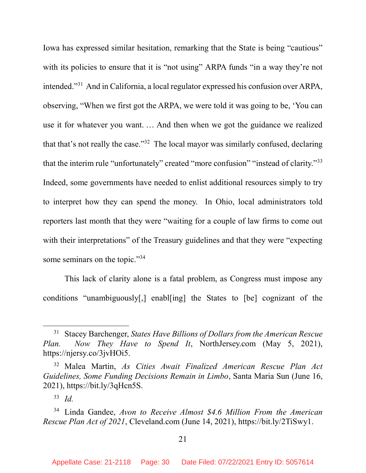Iowa has expressed similar hesitation, remarking that the State is being "cautious" with its policies to ensure that it is "not using" ARPA funds "in a way they're not intended."<sup>31</sup> And in California, a local regulator expressed his confusion over ARPA, observing, "When we first got the ARPA, we were told it was going to be, 'You can use it for whatever you want. … And then when we got the guidance we realized that that's not really the case."<sup>32</sup> The local mayor was similarly confused, declaring that the interim rule "unfortunately" created "more confusion" "instead of clarity."<sup>33</sup> Indeed, some governments have needed to enlist additional resources simply to try to interpret how they can spend the money. In Ohio, local administrators told reporters last month that they were "waiting for a couple of law firms to come out with their interpretations" of the Treasury guidelines and that they were "expecting" some seminars on the topic."<sup>34</sup>

This lack of clarity alone is a fatal problem, as Congress must impose any conditions "unambiguously[,] enabl[ing] the States to [be] cognizant of the

 $31$  Stacey Barchenger, States Have Billions of Dollars from the American Rescue Plan. Now They Have to Spend It, NorthJersey.com (May 5, 2021), https://njersy.co/3jvHOi5.

<sup>32</sup> Malea Martin, As Cities Await Finalized American Rescue Plan Act Guidelines, Some Funding Decisions Remain in Limbo, Santa Maria Sun (June 16, 2021), https://bit.ly/3qHcn5S.

 $33$  *Id.* 

<sup>34</sup> Linda Gandee, Avon to Receive Almost \$4.6 Million From the American Rescue Plan Act of 2021, Cleveland.com (June 14, 2021), https://bit.ly/2TiSwy1.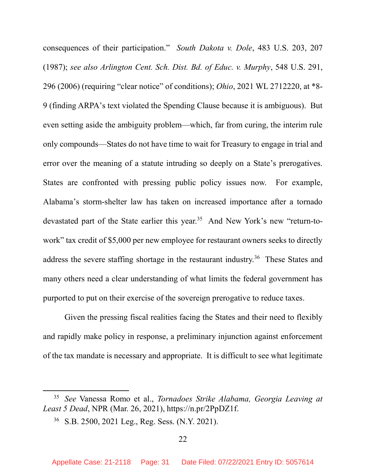consequences of their participation." South Dakota v. Dole, 483 U.S. 203, 207 (1987); see also Arlington Cent. Sch. Dist. Bd. of Educ. v. Murphy, 548 U.S. 291, 296 (2006) (requiring "clear notice" of conditions); Ohio, 2021 WL 2712220, at \*8- 9 (finding ARPA's text violated the Spending Clause because it is ambiguous). But even setting aside the ambiguity problem—which, far from curing, the interim rule only compounds—States do not have time to wait for Treasury to engage in trial and error over the meaning of a statute intruding so deeply on a State's prerogatives. States are confronted with pressing public policy issues now. For example, Alabama's storm-shelter law has taken on increased importance after a tornado devastated part of the State earlier this year.<sup>35</sup> And New York's new "return-towork" tax credit of \$5,000 per new employee for restaurant owners seeks to directly address the severe staffing shortage in the restaurant industry.<sup>36</sup> These States and many others need a clear understanding of what limits the federal government has purported to put on their exercise of the sovereign prerogative to reduce taxes.

Given the pressing fiscal realities facing the States and their need to flexibly and rapidly make policy in response, a preliminary injunction against enforcement of the tax mandate is necessary and appropriate. It is difficult to see what legitimate

<sup>&</sup>lt;sup>35</sup> See Vanessa Romo et al., Tornadoes Strike Alabama, Georgia Leaving at Least 5 Dead, NPR (Mar. 26, 2021), https://n.pr/2PpDZ1f.

<sup>36</sup> S.B. 2500, 2021 Leg., Reg. Sess. (N.Y. 2021).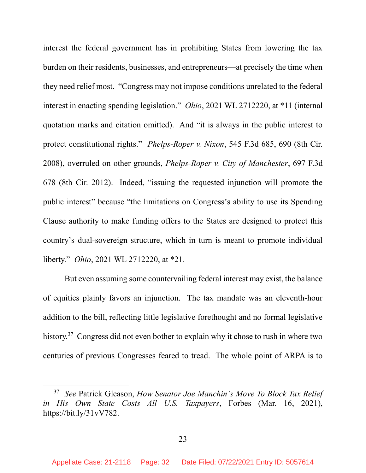interest the federal government has in prohibiting States from lowering the tax burden on their residents, businesses, and entrepreneurs—at precisely the time when they need relief most. "Congress may not impose conditions unrelated to the federal interest in enacting spending legislation." Ohio, 2021 WL 2712220, at \*11 (internal quotation marks and citation omitted). And "it is always in the public interest to protect constitutional rights." Phelps-Roper v. Nixon, 545 F.3d 685, 690 (8th Cir. 2008), overruled on other grounds, Phelps-Roper v. City of Manchester, 697 F.3d 678 (8th Cir. 2012). Indeed, "issuing the requested injunction will promote the public interest" because "the limitations on Congress's ability to use its Spending Clause authority to make funding offers to the States are designed to protect this country's dual-sovereign structure, which in turn is meant to promote individual liberty." Ohio, 2021 WL 2712220, at \*21.

But even assuming some countervailing federal interest may exist, the balance of equities plainly favors an injunction. The tax mandate was an eleventh-hour addition to the bill, reflecting little legislative forethought and no formal legislative history.<sup>37</sup> Congress did not even bother to explain why it chose to rush in where two centuries of previous Congresses feared to tread. The whole point of ARPA is to

<sup>&</sup>lt;sup>37</sup> See Patrick Gleason, How Senator Joe Manchin's Move To Block Tax Relief in His Own State Costs All U.S. Taxpayers, Forbes (Mar. 16, 2021), https://bit.ly/31vV782.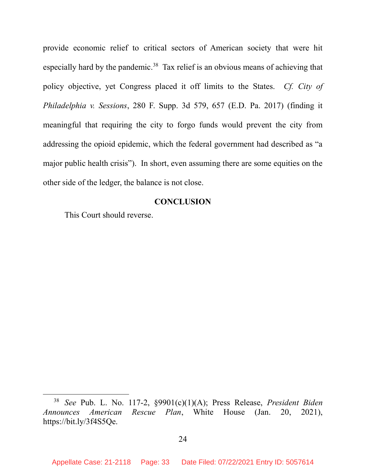provide economic relief to critical sectors of American society that were hit especially hard by the pandemic.<sup>38</sup> Tax relief is an obvious means of achieving that policy objective, yet Congress placed it off limits to the States. Cf. City of Philadelphia v. Sessions, 280 F. Supp. 3d 579, 657 (E.D. Pa. 2017) (finding it meaningful that requiring the city to forgo funds would prevent the city from addressing the opioid epidemic, which the federal government had described as "a major public health crisis"). In short, even assuming there are some equities on the other side of the ledger, the balance is not close.

### **CONCLUSION**

This Court should reverse.

<sup>&</sup>lt;sup>38</sup> See Pub. L. No. 117-2, §9901(c)(1)(A); Press Release, President Biden Announces American Rescue Plan, White House (Jan. 20, 2021), https://bit.ly/3f4S5Qe.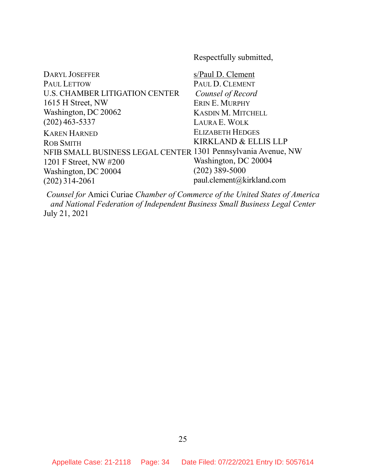Respectfully submitted,

| <b>DARYL JOSEFFER</b>                                         | s/Paul D. Clement         |
|---------------------------------------------------------------|---------------------------|
| <b>PAUL LETTOW</b>                                            | PAUL D. CLEMENT           |
| <b>U.S. CHAMBER LITIGATION CENTER</b>                         | Counsel of Record         |
| 1615 H Street, NW                                             | ERIN E. MURPHY            |
| Washington, DC 20062                                          | <b>KASDIN M. MITCHELL</b> |
| $(202)$ 463-5337                                              | LAURA E. WOLK             |
| <b>KAREN HARNED</b>                                           | <b>ELIZABETH HEDGES</b>   |
| <b>ROB SMITH</b>                                              | KIRKLAND & ELLIS LLP      |
| NFIB SMALL BUSINESS LEGAL CENTER 1301 Pennsylvania Avenue, NW |                           |
| 1201 F Street, NW #200                                        | Washington, DC 20004      |
| Washington, DC 20004                                          | $(202)$ 389-5000          |
| $(202)$ 314-2061                                              | paul.clement@kirkland.com |
|                                                               |                           |

Counsel for Amici Curiae Chamber of Commerce of the United States of America and National Federation of Independent Business Small Business Legal Center July 21, 2021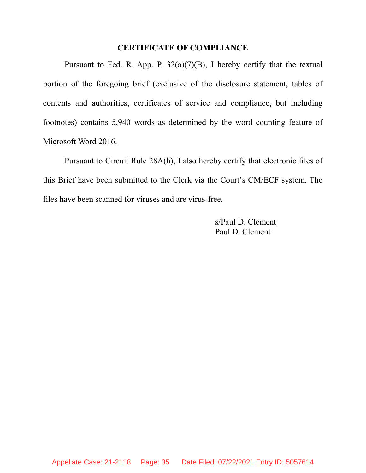#### CERTIFICATE OF COMPLIANCE

Pursuant to Fed. R. App. P.  $32(a)(7)(B)$ , I hereby certify that the textual portion of the foregoing brief (exclusive of the disclosure statement, tables of contents and authorities, certificates of service and compliance, but including footnotes) contains 5,940 words as determined by the word counting feature of Microsoft Word 2016.

Pursuant to Circuit Rule 28A(h), I also hereby certify that electronic files of this Brief have been submitted to the Clerk via the Court's CM/ECF system. The files have been scanned for viruses and are virus-free.

> s/Paul D. Clement Paul D. Clement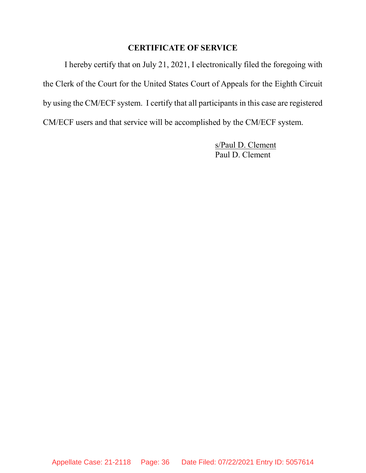## CERTIFICATE OF SERVICE

I hereby certify that on July 21, 2021, I electronically filed the foregoing with the Clerk of the Court for the United States Court of Appeals for the Eighth Circuit by using the CM/ECF system. I certify that all participants in this case are registered CM/ECF users and that service will be accomplished by the CM/ECF system.

> s/Paul D. Clement Paul D. Clement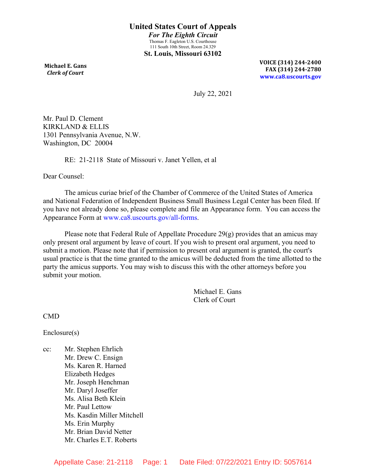**Michael E. Gans**  *Clerk of Court*

**VOICE (314) 244-2400 FAX (314) 244-2780 [www.ca8.uscourts.gov](http://www.ca8.uscourts.gov/)**

July 22, 2021

Mr. Paul D. Clement KIRKLAND & ELLIS 1301 Pennsylvania Avenue, N.W. Washington, DC 20004

RE: 21-2118 State of Missouri v. Janet Yellen, et al

Dear Counsel:

The amicus curiae brief of the Chamber of Commerce of the United States of America and National Federation of Independent Business Small Business Legal Center has been filed. If you have not already done so, please complete and file an Appearance form. You can access the Appearance Form at [www.ca8.uscourts.gov/all-forms.](http://www.ca8.uscourts.gov/all-forms)

Please note that Federal Rule of Appellate Procedure  $29(g)$  provides that an amicus may only present oral argument by leave of court. If you wish to present oral argument, you need to submit a motion. Please note that if permission to present oral argument is granted, the court's usual practice is that the time granted to the amicus will be deducted from the time allotted to the party the amicus supports. You may wish to discuss this with the other attorneys before you submit your motion.

> Michael E. Gans Clerk of Court

CMD

Enclosure(s)

cc: Mr. Stephen Ehrlich Mr. Drew C. Ensign Ms. Karen R. Harned Elizabeth Hedges Mr. Joseph Henchman Mr. Daryl Joseffer Ms. Alisa Beth Klein Mr. Paul Lettow Ms. Kasdin Miller Mitchell Ms. Erin Murphy Mr. Brian David Netter Mr. Charles E.T. Roberts

Appellate Case: 21-2118 Page: 1 Date Filed: 07/22/2021 Entry ID: 5057614